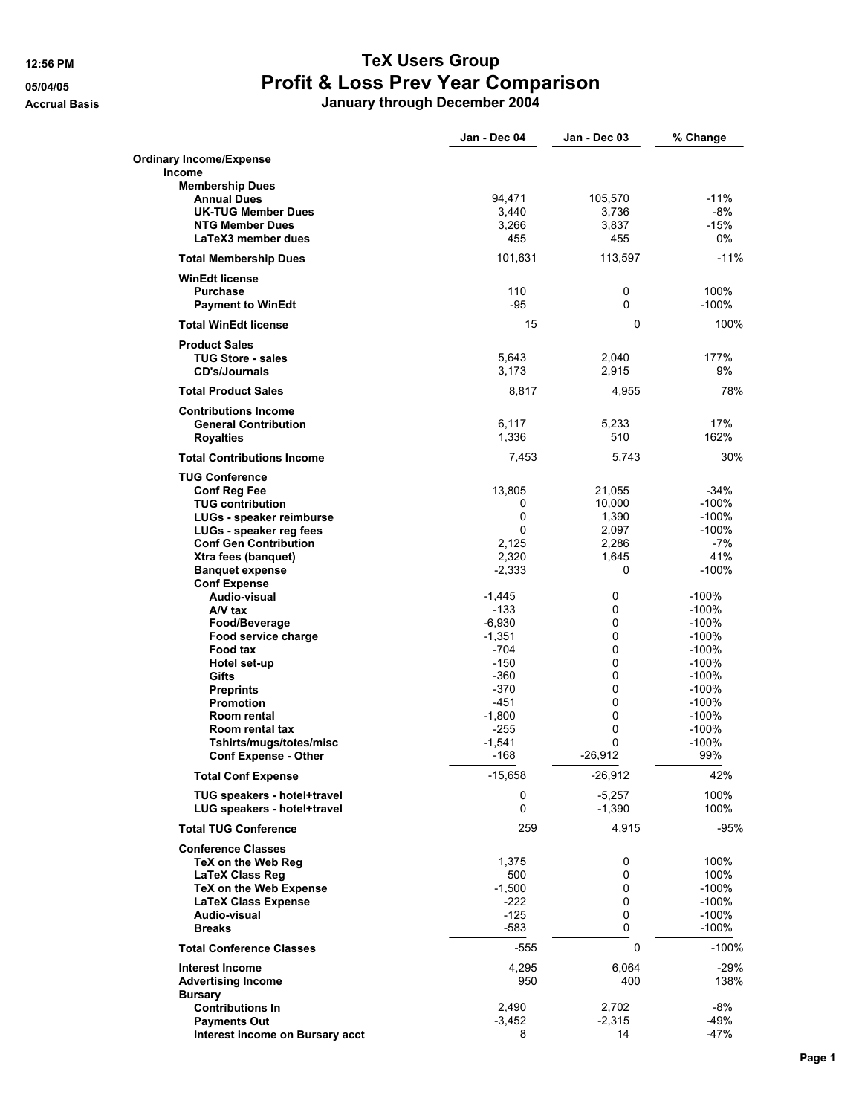## **12:56 PM TeX Users Group 05/04/05 Profit & Loss Prev Year Comparison**

**Accrual Basis January through December 2004**

|                                                                                                                                                                                                                                                                 | Jan - Dec 04                                                                                                                         | Jan - Dec 03                                                          | % Change                                                                                                                                |
|-----------------------------------------------------------------------------------------------------------------------------------------------------------------------------------------------------------------------------------------------------------------|--------------------------------------------------------------------------------------------------------------------------------------|-----------------------------------------------------------------------|-----------------------------------------------------------------------------------------------------------------------------------------|
| <b>Ordinary Income/Expense</b><br>Income                                                                                                                                                                                                                        |                                                                                                                                      |                                                                       |                                                                                                                                         |
| <b>Membership Dues</b><br><b>Annual Dues</b><br><b>UK-TUG Member Dues</b><br><b>NTG Member Dues</b><br>LaTeX3 member dues                                                                                                                                       | 94,471<br>3,440<br>3,266<br>455                                                                                                      | 105,570<br>3,736<br>3,837<br>455                                      | $-11%$<br>$-8%$<br>$-15%$<br>0%                                                                                                         |
| <b>Total Membership Dues</b>                                                                                                                                                                                                                                    | 101,631                                                                                                                              | 113,597                                                               | $-11%$                                                                                                                                  |
| <b>WinEdt license</b><br><b>Purchase</b><br><b>Payment to WinEdt</b>                                                                                                                                                                                            | 110<br>-95                                                                                                                           | 0<br>0                                                                | 100%<br>$-100%$                                                                                                                         |
| <b>Total WinEdt license</b>                                                                                                                                                                                                                                     | 15                                                                                                                                   | $\Omega$                                                              | 100%                                                                                                                                    |
| <b>Product Sales</b><br><b>TUG Store - sales</b><br><b>CD's/Journals</b>                                                                                                                                                                                        | 5,643<br>3,173                                                                                                                       | 2,040<br>2,915                                                        | 177%<br>9%                                                                                                                              |
| <b>Total Product Sales</b>                                                                                                                                                                                                                                      | 8,817                                                                                                                                | 4,955                                                                 | 78%                                                                                                                                     |
| <b>Contributions Income</b><br><b>General Contribution</b><br><b>Royalties</b>                                                                                                                                                                                  | 6,117<br>1,336                                                                                                                       | 5,233<br>510                                                          | 17%<br>162%                                                                                                                             |
| <b>Total Contributions Income</b>                                                                                                                                                                                                                               | 7,453                                                                                                                                | 5,743                                                                 | 30%                                                                                                                                     |
| <b>TUG Conference</b><br><b>Conf Reg Fee</b><br><b>TUG contribution</b><br>LUGs - speaker reimburse<br>LUGs - speaker reg fees<br><b>Conf Gen Contribution</b><br>Xtra fees (banquet)<br><b>Banquet expense</b>                                                 | 13,805<br>0<br>0<br>0<br>2,125<br>2,320<br>$-2,333$                                                                                  | 21,055<br>10,000<br>1,390<br>2,097<br>2,286<br>1,645<br>0             | $-34%$<br>$-100%$<br>-100%<br>$-100%$<br>$-7%$<br>41%<br>$-100%$                                                                        |
| <b>Conf Expense</b><br>Audio-visual<br>A/V tax<br>Food/Beverage<br>Food service charge<br>Food tax<br>Hotel set-up<br>Gifts<br><b>Preprints</b><br><b>Promotion</b><br>Room rental<br>Room rental tax<br>Tshirts/mugs/totes/misc<br><b>Conf Expense - Other</b> | $-1,445$<br>$-133$<br>$-6,930$<br>$-1,351$<br>$-704$<br>$-150$<br>$-360$<br>$-370$<br>-451<br>$-1,800$<br>$-255$<br>$-1,541$<br>-168 | 0<br>0<br>0<br>0<br>0<br>0<br>0<br>0<br>0<br>0<br>0<br>0<br>$-26,912$ | $-100%$<br>$-100%$<br>$-100%$<br>$-100%$<br>$-100%$<br>$-100%$<br>$-100%$<br>$-100%$<br>$-100%$<br>$-100%$<br>$-100%$<br>$-100%$<br>99% |
| <b>Total Conf Expense</b>                                                                                                                                                                                                                                       | $-15,658$                                                                                                                            | $-26,912$                                                             | 42%                                                                                                                                     |
| TUG speakers - hotel+travel<br>LUG speakers - hotel+travel                                                                                                                                                                                                      | 0<br>0                                                                                                                               | $-5,257$<br>$-1,390$                                                  | 100%<br>100%                                                                                                                            |
| <b>Total TUG Conference</b>                                                                                                                                                                                                                                     | 259                                                                                                                                  | 4,915                                                                 | -95%                                                                                                                                    |
| <b>Conference Classes</b><br>TeX on the Web Reg<br><b>LaTeX Class Reg</b><br>TeX on the Web Expense<br><b>LaTeX Class Expense</b><br>Audio-visual<br><b>Breaks</b>                                                                                              | 1,375<br>500<br>$-1,500$<br>-222<br>-125<br>$-583$                                                                                   | 0<br>0<br>0<br>0<br>0<br>0                                            | 100%<br>100%<br>-100%<br>-100%<br>-100%<br>$-100%$                                                                                      |
| <b>Total Conference Classes</b>                                                                                                                                                                                                                                 | -555                                                                                                                                 | 0                                                                     | $-100%$                                                                                                                                 |
| <b>Interest Income</b><br><b>Advertising Income</b><br><b>Bursary</b>                                                                                                                                                                                           | 4,295<br>950                                                                                                                         | 6,064<br>400                                                          | -29%<br>138%                                                                                                                            |
| <b>Contributions In</b><br><b>Payments Out</b><br>Interest income on Bursary acct                                                                                                                                                                               | 2,490<br>$-3,452$<br>8                                                                                                               | 2,702<br>$-2,315$<br>14                                               | $-8%$<br>-49%<br>$-47%$                                                                                                                 |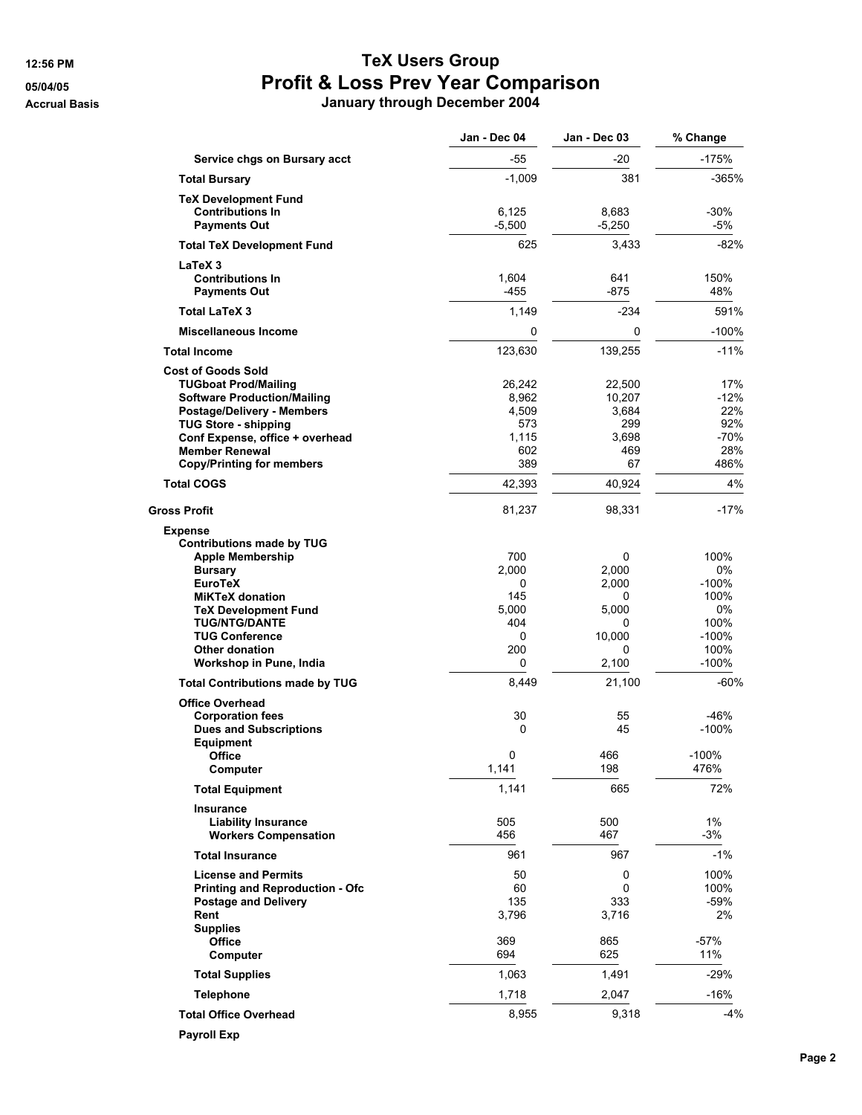## **12:56 PM TeX Users Group 05/04/05 Profit & Loss Prev Year Comparison Accrual Basis January through December 2004**

|                                                   | Jan - Dec 04  | Jan - Dec 03  | % Change    |
|---------------------------------------------------|---------------|---------------|-------------|
| Service chgs on Bursary acct                      | -55           | -20           | -175%       |
| <b>Total Bursary</b>                              | $-1,009$      | 381           | -365%       |
| <b>TeX Development Fund</b>                       |               |               |             |
| <b>Contributions In</b>                           | 6,125         | 8,683         | $-30%$      |
| <b>Payments Out</b>                               | $-5,500$      | $-5,250$      | -5%         |
| <b>Total TeX Development Fund</b>                 | 625           | 3,433         | $-82%$      |
| LaTeX 3<br><b>Contributions In</b>                |               |               |             |
| <b>Payments Out</b>                               | 1,604<br>-455 | 641<br>$-875$ | 150%<br>48% |
| <b>Total LaTeX 3</b>                              | 1,149         | $-234$        | 591%        |
| <b>Miscellaneous Income</b>                       | 0             | 0             | $-100%$     |
| <b>Total Income</b>                               | 123,630       | 139,255       | $-11%$      |
| <b>Cost of Goods Sold</b>                         |               |               |             |
| <b>TUGboat Prod/Mailing</b>                       | 26,242        | 22,500        | 17%         |
| <b>Software Production/Mailing</b>                | 8,962         | 10,207        | -12%        |
| <b>Postage/Delivery - Members</b>                 | 4,509         | 3,684         | 22%         |
| <b>TUG Store - shipping</b>                       | 573           | 299           | 92%         |
| Conf Expense, office + overhead                   | 1,115         | 3,698         | -70%        |
| <b>Member Renewal</b>                             | 602           | 469           | 28%         |
| <b>Copy/Printing for members</b>                  | 389           | 67            | 486%        |
| <b>Total COGS</b>                                 | 42,393        | 40,924        | 4%          |
| Gross Profit                                      | 81,237        | 98,331        | -17%        |
| <b>Expense</b>                                    |               |               |             |
| <b>Contributions made by TUG</b>                  |               |               |             |
| <b>Apple Membership</b>                           | 700           | 0             | 100%        |
| <b>Bursary</b>                                    | 2,000         | 2,000         | 0%          |
| <b>EuroTeX</b>                                    | 0             | 2,000         | $-100%$     |
| <b>MiKTeX donation</b>                            | 145           | 0             | 100%        |
| <b>TeX Development Fund</b>                       | 5,000         | 5,000         | 0%          |
| <b>TUG/NTG/DANTE</b>                              | 404           | 0             | 100%        |
| <b>TUG Conference</b>                             | 0             | 10,000        | $-100%$     |
| <b>Other donation</b>                             | 200           | 0             | 100%        |
| Workshop in Pune, India                           | 0             | 2,100         | $-100%$     |
| <b>Total Contributions made by TUG</b>            | 8,449         | 21,100        | $-60%$      |
| <b>Office Overhead</b><br><b>Corporation fees</b> | 30            | 55            | -46%        |
| <b>Dues and Subscriptions</b>                     | 0             | 45            | $-100%$     |
| <b>Equipment</b>                                  |               |               |             |
| Office                                            | 0             | 466           | $-100%$     |
| Computer                                          | 1,141         | 198           | 476%        |
| <b>Total Equipment</b>                            | 1,141         | 665           | 72%         |
| Insurance                                         |               |               |             |
| <b>Liability Insurance</b>                        | 505           | 500           | 1%          |
| <b>Workers Compensation</b>                       | 456           | 467           | $-3%$       |
| <b>Total Insurance</b>                            | 961           | 967           | $-1\%$      |
| <b>License and Permits</b>                        | 50            | 0             | 100%        |
| <b>Printing and Reproduction - Ofc</b>            | 60            | 0             | 100%        |
| <b>Postage and Delivery</b>                       | 135           | 333           | -59%        |
| Rent                                              | 3,796         | 3,716         | 2%          |
| <b>Supplies</b>                                   |               |               |             |
| Office                                            | 369           | 865           | $-57%$      |
| Computer                                          | 694           | 625           | 11%         |
| <b>Total Supplies</b>                             | 1,063         | 1,491         | $-29%$      |
| <b>Telephone</b>                                  | 1,718         | 2,047         | $-16%$      |
| <b>Total Office Overhead</b>                      | 8,955         | 9,318         | -4%         |
| <b>Payroll Exp</b>                                |               |               |             |